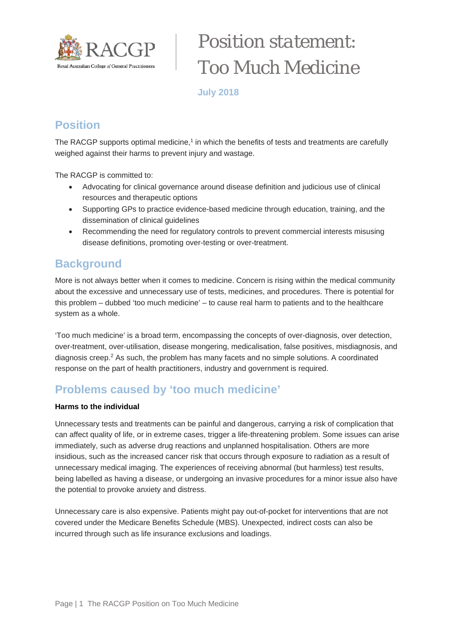

# *Position statement: Too Much Medicine*

**July 2018**

# **Position**

The RACGP supports optimal medicine, $1$  in which the benefits of tests and treatments are carefully weighed against their harms to prevent injury and wastage.

The RACGP is committed to:

- Advocating for clinical governance around disease definition and judicious use of clinical resources and therapeutic options
- Supporting GPs to practice evidence-based medicine through education, training, and the dissemination of clinical guidelines
- Recommending the need for regulatory controls to prevent commercial interests misusing disease definitions, promoting over-testing or over-treatment.

## **Background**

More is not always better when it comes to medicine. Concern is rising within the medical community about the excessive and unnecessary use of tests, medicines, and procedures. There is potential for this problem – dubbed 'too much medicine' – to cause real harm to patients and to the healthcare system as a whole.

'Too much medicine' is a broad term, encompassing the concepts of over-diagnosis, over detection, over-treatment, over-utilisation, disease mongering, medicalisation, false positives, misdiagnosis, and diagnosis creep. $<sup>2</sup>$  As such, the problem has many facets and no simple solutions. A coordinated</sup> response on the part of health practitioners, industry and government is required.

# **Problems caused by 'too much medicine'**

#### **Harms to the individual**

Unnecessary tests and treatments can be painful and dangerous, carrying a risk of complication that can affect quality of life, or in extreme cases, trigger a life-threatening problem. Some issues can arise immediately, such as adverse drug reactions and unplanned hospitalisation. Others are more insidious, such as the increased cancer risk that occurs through exposure to radiation as a result of unnecessary medical imaging. The experiences of receiving abnormal (but harmless) test results, being labelled as having a disease, or undergoing an invasive procedures for a minor issue also have the potential to provoke anxiety and distress.

Unnecessary care is also expensive. Patients might pay out-of-pocket for interventions that are not covered under the Medicare Benefits Schedule (MBS). Unexpected, indirect costs can also be incurred through such as life insurance exclusions and loadings.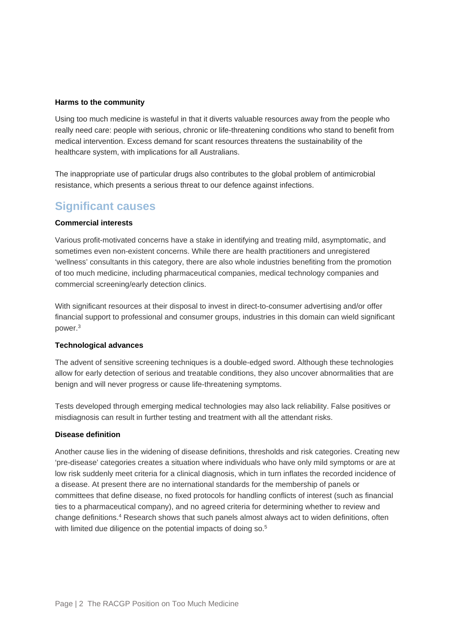#### **Harms to the community**

Using too much medicine is wasteful in that it diverts valuable resources away from the people who really need care: people with serious, chronic or life-threatening conditions who stand to benefit from medical intervention. Excess demand for scant resources threatens the sustainability of the healthcare system, with implications for all Australians.

The inappropriate use of particular drugs also contributes to the global problem of antimicrobial resistance, which presents a serious threat to our defence against infections.

## **Significant causes**

#### **Commercial interests**

Various profit-motivated concerns have a stake in identifying and treating mild, asymptomatic, and sometimes even non-existent concerns. While there are health practitioners and unregistered 'wellness' consultants in this category, there are also whole industries benefiting from the promotion of too much medicine, including pharmaceutical companies, medical technology companies and commercial screening/early detection clinics.

With significant resources at their disposal to invest in direct-to-consumer advertising and/or offer financial support to professional and consumer groups, industries in this domain can wield significant power.3

#### **Technological advances**

The advent of sensitive screening techniques is a double-edged sword. Although these technologies allow for early detection of serious and treatable conditions, they also uncover abnormalities that are benign and will never progress or cause life-threatening symptoms.

Tests developed through emerging medical technologies may also lack reliability. False positives or misdiagnosis can result in further testing and treatment with all the attendant risks.

#### **Disease definition**

Another cause lies in the widening of disease definitions, thresholds and risk categories. Creating new 'pre-disease' categories creates a situation where individuals who have only mild symptoms or are at low risk suddenly meet criteria for a clinical diagnosis, which in turn inflates the recorded incidence of a disease. At present there are no international standards for the membership of panels or committees that define disease, no fixed protocols for handling conflicts of interest (such as financial ties to a pharmaceutical company), and no agreed criteria for determining whether to review and change definitions.4 Research shows that such panels almost always act to widen definitions, often with limited due diligence on the potential impacts of doing so.<sup>5</sup>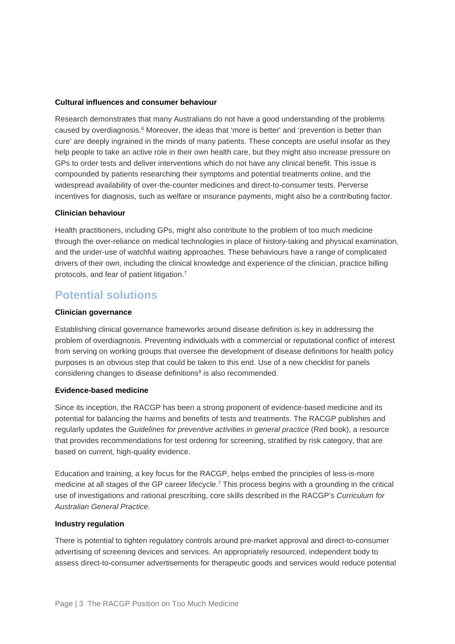#### **Cultural influences and consumer behaviour**

Research demonstrates that many Australians do not have a good understanding of the problems caused by overdiagnosis.<sup>6</sup> Moreover, the ideas that 'more is better' and 'prevention is better than cure' are deeply ingrained in the minds of many patients. These concepts are useful insofar as they help people to take an active role in their own health care, but they might also increase pressure on GPs to order tests and deliver interventions which do not have any clinical benefit. This issue is compounded by patients researching their symptoms and potential treatments online, and the widespread availability of over-the-counter medicines and direct-to-consumer tests. Perverse incentives for diagnosis, such as welfare or insurance payments, might also be a contributing factor.

#### **Clinician behaviour**

Health practitioners, including GPs, might also contribute to the problem of too much medicine through the over-reliance on medical technologies in place of history-taking and physical examination, and the under-use of watchful waiting approaches. These behaviours have a range of complicated drivers of their own, including the clinical knowledge and experience of the clinician, practice billing protocols, and fear of patient litigation.7

## **Potential solutions**

#### **Clinician governance**

Establishing clinical governance frameworks around disease definition is key in addressing the problem of overdiagnosis. Preventing individuals with a commercial or reputational conflict of interest from serving on working groups that oversee the development of disease definitions for health policy purposes is an obvious step that could be taken to this end. Use of a new checklist for panels considering changes to disease definitions<sup>8</sup> is also recommended.

#### **Evidence-based medicine**

Since its inception, the RACGP has been a strong proponent of evidence-based medicine and its potential for balancing the harms and benefits of tests and treatments. The RACGP publishes and regularly updates the *Guidelines for preventive activities in general practice* (Red book), a resource that provides recommendations for test ordering for screening, stratified by risk category, that are based on current, high-quality evidence.

Education and training, a key focus for the RACGP, helps embed the principles of less-is-more medicine at all stages of the GP career lifecycle.7 This process begins with a grounding in the critical use of investigations and rational prescribing, core skills described in the RACGP's *Curriculum for Australian General Practice*.

#### **Industry regulation**

There is potential to tighten regulatory controls around pre-market approval and direct-to-consumer advertising of screening devices and services. An appropriately resourced, independent body to assess direct-to-consumer advertisements for therapeutic goods and services would reduce potential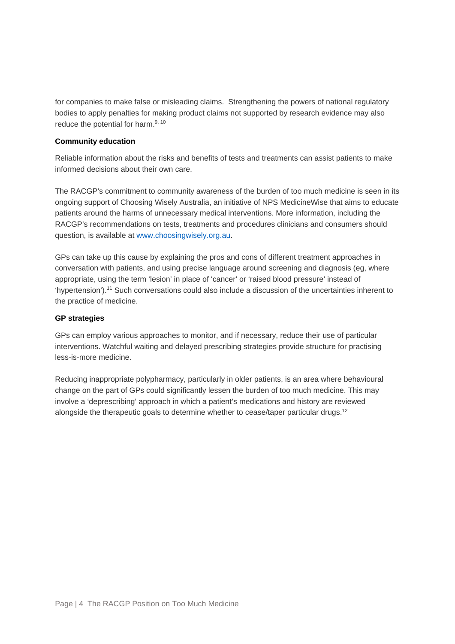for companies to make false or misleading claims. Strengthening the powers of national regulatory bodies to apply penalties for making product claims not supported by research evidence may also reduce the potential for harm.<sup>9, 10</sup>

#### **Community education**

Reliable information about the risks and benefits of tests and treatments can assist patients to make informed decisions about their own care.

The RACGP's commitment to community awareness of the burden of too much medicine is seen in its ongoing support of Choosing Wisely Australia, an initiative of NPS MedicineWise that aims to educate patients around the harms of unnecessary medical interventions. More information, including the RACGP's recommendations on tests, treatments and procedures clinicians and consumers should question, is available a[t www.choosingwisely.org.au.](http://www.choosingwisely.org.au/)

GPs can take up this cause by explaining the pros and cons of different treatment approaches in conversation with patients, and using precise language around screening and diagnosis (eg, where appropriate, using the term 'lesion' in place of 'cancer' or 'raised blood pressure' instead of 'hypertension').11 Such conversations could also include a discussion of the uncertainties inherent to the practice of medicine.

#### **GP strategies**

GPs can employ various approaches to monitor, and if necessary, reduce their use of particular interventions. Watchful waiting and delayed prescribing strategies provide structure for practising less-is-more medicine.

Reducing inappropriate polypharmacy, particularly in older patients, is an area where behavioural change on the part of GPs could significantly lessen the burden of too much medicine. This may involve a 'deprescribing' approach in which a patient's medications and history are reviewed alongside the therapeutic goals to determine whether to cease/taper particular drugs.<sup>12</sup>